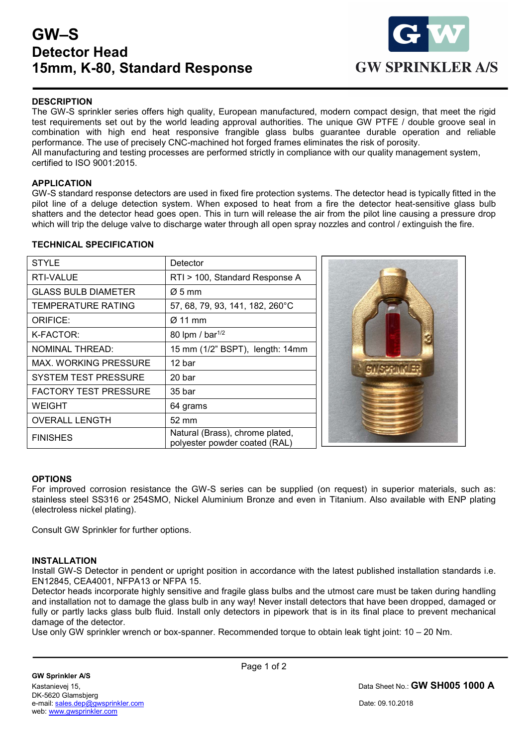# GW–S Detector Head 15mm, K-80, Standard Response



## **DESCRIPTION**

The GW-S sprinkler series offers high quality, European manufactured, modern compact design, that meet the rigid test requirements set out by the world leading approval authorities. The unique GW PTFE / double groove seal in combination with high end heat responsive frangible glass bulbs guarantee durable operation and reliable performance. The use of precisely CNC-machined hot forged frames eliminates the risk of porosity. All manufacturing and testing processes are performed strictly in compliance with our quality management system, certified to ISO 9001:2015.

### APPLICATION

GW-S standard response detectors are used in fixed fire protection systems. The detector head is typically fitted in the pilot line of a deluge detection system. When exposed to heat from a fire the detector heat-sensitive glass bulb shatters and the detector head goes open. This in turn will release the air from the pilot line causing a pressure drop which will trip the deluge valve to discharge water through all open spray nozzles and control / extinguish the fire.

### TECHNICAL SPECIFICATION

| <b>STYLE</b>                 | Detector                                                         |
|------------------------------|------------------------------------------------------------------|
| RTI-VALUE                    | RTI > 100, Standard Response A                                   |
| <b>GLASS BULB DIAMETER</b>   | $\varnothing$ 5 mm                                               |
| <b>TEMPERATURE RATING</b>    | 57, 68, 79, 93, 141, 182, 260°C                                  |
| <b>ORIFICE:</b>              | $\varnothing$ 11 mm                                              |
| K-FACTOR:                    | 80 lpm / bar <sup>1/2</sup>                                      |
| <b>NOMINAL THREAD:</b>       | 15 mm (1/2" BSPT), length: 14mm                                  |
| MAX, WORKING PRESSURE        | 12 bar                                                           |
| SYSTEM TEST PRESSURE         | 20 bar                                                           |
| <b>FACTORY TEST PRESSURE</b> | 35 bar                                                           |
| <b>WEIGHT</b>                | 64 grams                                                         |
| <b>OVERALL LENGTH</b>        | 52 mm                                                            |
| <b>FINISHES</b>              | Natural (Brass), chrome plated,<br>polyester powder coated (RAL) |



#### **OPTIONS**

For improved corrosion resistance the GW-S series can be supplied (on request) in superior materials, such as: stainless steel SS316 or 254SMO, Nickel Aluminium Bronze and even in Titanium. Also available with ENP plating (electroless nickel plating).

Consult GW Sprinkler for further options.

#### INSTALLATION

 $\overline{a}$ 

Install GW-S Detector in pendent or upright position in accordance with the latest published installation standards i.e. EN12845, CEA4001, NFPA13 or NFPA 15.

Detector heads incorporate highly sensitive and fragile glass bulbs and the utmost care must be taken during handling and installation not to damage the glass bulb in any way! Never install detectors that have been dropped, damaged or fully or partly lacks glass bulb fluid. Install only detectors in pipework that is in its final place to prevent mechanical damage of the detector.

Use only GW sprinkler wrench or box-spanner. Recommended torque to obtain leak tight joint: 10 – 20 Nm.